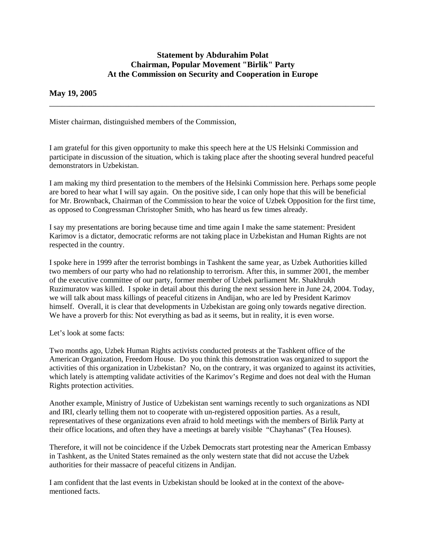## **Statement by Abdurahim Polat Chairman, Popular Movement "Birlik" Party At the Commission on Security and Cooperation in Europe**

\_\_\_\_\_\_\_\_\_\_\_\_\_\_\_\_\_\_\_\_\_\_\_\_\_\_\_\_\_\_\_\_\_\_\_\_\_\_\_\_\_\_\_\_\_\_\_\_\_\_\_\_\_\_\_\_\_\_\_\_\_\_\_\_\_\_\_\_\_\_\_\_\_\_\_\_\_\_

## **May 19, 2005**

Mister chairman, distinguished members of the Commission,

I am grateful for this given opportunity to make this speech here at the US Helsinki Commission and participate in discussion of the situation, which is taking place after the shooting several hundred peaceful demonstrators in Uzbekistan.

I am making my third presentation to the members of the Helsinki Commission here. Perhaps some people are bored to hear what I will say again. On the positive side, I can only hope that this will be beneficial for Mr. Brownback, Chairman of the Commission to hear the voice of Uzbek Opposition for the first time, as opposed to Congressman Christopher Smith, who has heard us few times already.

I say my presentations are boring because time and time again I make the same statement: President Karimov is a dictator, democratic reforms are not taking place in Uzbekistan and Human Rights are not respected in the country.

I spoke here in 1999 after the terrorist bombings in Tashkent the same year, as Uzbek Authorities killed two members of our party who had no relationship to terrorism. After this, in summer 2001, the member of the executive committee of our party, former member of Uzbek parliament Mr. Shakhrukh Ruzimuratov was killed. I spoke in detail about this during the next session here in June 24, 2004. Today, we will talk about mass killings of peaceful citizens in Andijan, who are led by President Karimov himself. Overall, it is clear that developments in Uzbekistan are going only towards negative direction. We have a proverb for this: Not everything as bad as it seems, but in reality, it is even worse.

Let's look at some facts:

Two months ago, Uzbek Human Rights activists conducted protests at the Tashkent office of the American Organization, Freedom House. Do you think this demonstration was organized to support the activities of this organization in Uzbekistan? No, on the contrary, it was organized to against its activities, which lately is attempting validate activities of the Karimov's Regime and does not deal with the Human Rights protection activities.

Another example, Ministry of Justice of Uzbekistan sent warnings recently to such organizations as NDI and IRI, clearly telling them not to cooperate with un-registered opposition parties. As a result, representatives of these organizations even afraid to hold meetings with the members of Birlik Party at their office locations, and often they have a meetings at barely visible "Chayhanas" (Tea Houses).

Therefore, it will not be coincidence if the Uzbek Democrats start protesting near the American Embassy in Tashkent, as the United States remained as the only western state that did not accuse the Uzbek authorities for their massacre of peaceful citizens in Andijan.

I am confident that the last events in Uzbekistan should be looked at in the context of the abovementioned facts.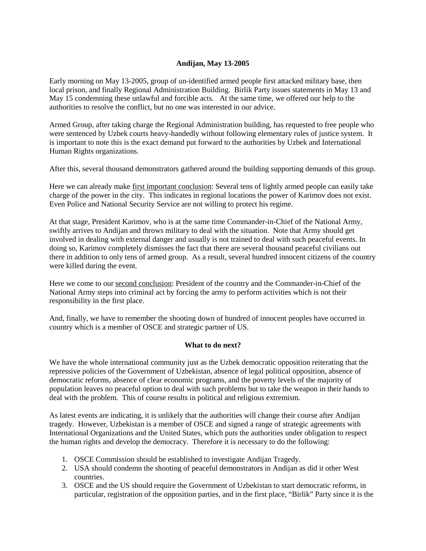## **Andijan, May 13-2005**

Early morning on May 13-2005, group of un-identified armed people first attacked military base, then local prison, and finally Regional Administration Building. Birlik Party issues statements in May 13 and May 15 condemning these unlawful and forcible acts. At the same time, we offered our help to the authorities to resolve the conflict, but no one was interested in our advice.

Armed Group, after taking charge the Regional Administration building, has requested to free people who were sentenced by Uzbek courts heavy-handedly without following elementary rules of justice system. It is important to note this is the exact demand put forward to the authorities by Uzbek and International Human Rights organizations.

After this, several thousand demonstrators gathered around the building supporting demands of this group.

Here we can already make first important conclusion: Several tens of lightly armed people can easily take charge of the power in the city. This indicates in regional locations the power of Karimov does not exist. Even Police and National Security Service are not willing to protect his regime.

At that stage, President Karimov, who is at the same time Commander-in-Chief of the National Army, swiftly arrives to Andijan and throws military to deal with the situation. Note that Army should get involved in dealing with external danger and usually is not trained to deal with such peaceful events. In doing so, Karimov completely dismisses the fact that there are several thousand peaceful civilians out there in addition to only tens of armed group. As a result, several hundred innocent citizens of the country were killed during the event.

Here we come to our second conclusion: President of the country and the Commander-in-Chief of the National Army steps into criminal act by forcing the army to perform activities which is not their responsibility in the first place.

And, finally, we have to remember the shooting down of hundred of innocent peoples have occurred in country which is a member of OSCE and strategic partner of US.

## **What to do next?**

We have the whole international community just as the Uzbek democratic opposition reiterating that the repressive policies of the Government of Uzbekistan, absence of legal political opposition, absence of democratic reforms, absence of clear economic programs, and the poverty levels of the majority of population leaves no peaceful option to deal with such problems but to take the weapon in their hands to deal with the problem. This of course results in political and religious extremism.

As latest events are indicating, it is unlikely that the authorities will change their course after Andijan tragedy. However, Uzbekistan is a member of OSCE and signed a range of strategic agreements with International Organizations and the United States, which puts the authorities under obligation to respect the human rights and develop the democracy. Therefore it is necessary to do the following:

- 1. OSCE Commission should be established to investigate Andijan Tragedy.
- 2. USA should condemn the shooting of peaceful demonstrators in Andijan as did it other West countries.
- 3. OSCE and the US should require the Government of Uzbekistan to start democratic reforms, in particular, registration of the opposition parties, and in the first place, "Birlik" Party since it is the